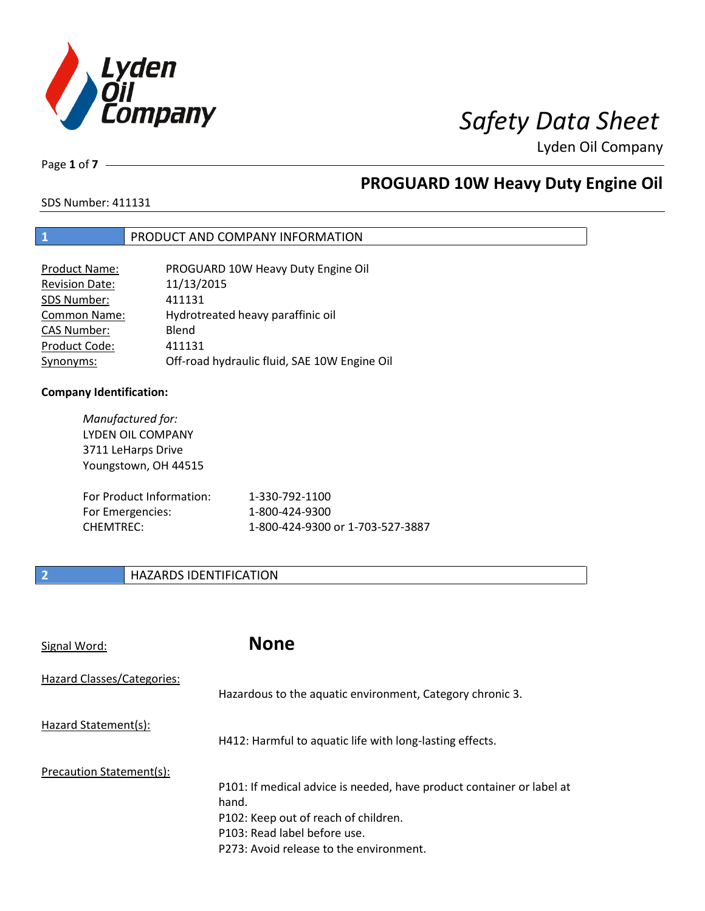

Page **1** of **7**

# **PROGUARD 10W Heavy Duty Engine Oil**

SDS Number: 411131

## **1** PRODUCT AND COMPANY INFORMATION

| Product Name:         | PROGUARD 10W Heavy Duty Engine Oil           |
|-----------------------|----------------------------------------------|
| <b>Revision Date:</b> | 11/13/2015                                   |
| SDS Number:           | 411131                                       |
| <b>Common Name:</b>   | Hydrotreated heavy paraffinic oil            |
| <b>CAS Number:</b>    | Blend                                        |
| Product Code:         | 411131                                       |
| Synonyms:             | Off-road hydraulic fluid, SAE 10W Engine Oil |

### **Company Identification:**

| Manufactured for:<br>LYDEN OIL COMPANY<br>3711 LeHarps Drive<br>Youngstown, OH 44515 |                                  |
|--------------------------------------------------------------------------------------|----------------------------------|
| For Product Information:                                                             | 1-330-792-1100                   |
| For Emergencies:                                                                     | 1-800-424-9300                   |
| <b>CHEMTREC:</b>                                                                     | 1-800-424-9300 or 1-703-527-3887 |

## **2 HAZARDS IDENTIFICATION**

| Signal Word:               | <b>None</b>                                                                                                                                                                                       |
|----------------------------|---------------------------------------------------------------------------------------------------------------------------------------------------------------------------------------------------|
| Hazard Classes/Categories: | Hazardous to the aquatic environment, Category chronic 3.                                                                                                                                         |
| Hazard Statement(s):       | H412: Harmful to aquatic life with long-lasting effects.                                                                                                                                          |
| Precaution Statement(s):   | P101: If medical advice is needed, have product container or label at<br>hand.<br>P102: Keep out of reach of children.<br>P103: Read label before use.<br>P273: Avoid release to the environment. |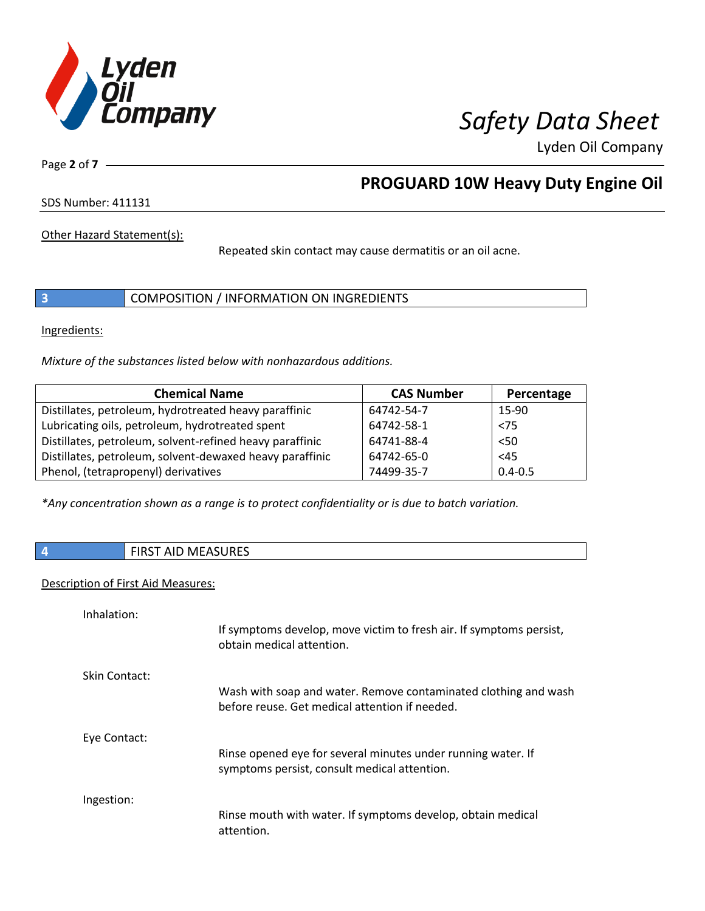

Page **2** of **7**

# **PROGUARD 10W Heavy Duty Engine Oil**

SDS Number: 411131

Other Hazard Statement(s):

Repeated skin contact may cause dermatitis or an oil acne.

**3** COMPOSITION / INFORMATION ON INGREDIENTS

Ingredients:

*Mixture of the substances listed below with nonhazardous additions.*

| <b>Chemical Name</b>                                     | <b>CAS Number</b> | Percentage  |
|----------------------------------------------------------|-------------------|-------------|
| Distillates, petroleum, hydrotreated heavy paraffinic    | 64742-54-7        | 15-90       |
| Lubricating oils, petroleum, hydrotreated spent          | 64742-58-1        | < 75        |
| Distillates, petroleum, solvent-refined heavy paraffinic | 64741-88-4        | < 50        |
| Distillates, petroleum, solvent-dewaxed heavy paraffinic | 64742-65-0        | $45$        |
| Phenol, (tetrapropenyl) derivatives                      | 74499-35-7        | $0.4 - 0.5$ |

*\*Any concentration shown as a range is to protect confidentiality or is due to batch variation.*

| V. | <b>AID MEASURES</b><br><b>FIDCT</b> |
|----|-------------------------------------|
|    |                                     |

## Description of First Aid Measures:

| Inhalation:   |                                                                                                                   |
|---------------|-------------------------------------------------------------------------------------------------------------------|
|               | If symptoms develop, move victim to fresh air. If symptoms persist,<br>obtain medical attention.                  |
| Skin Contact: |                                                                                                                   |
|               | Wash with soap and water. Remove contaminated clothing and wash<br>before reuse. Get medical attention if needed. |
| Eye Contact:  |                                                                                                                   |
|               | Rinse opened eye for several minutes under running water. If<br>symptoms persist, consult medical attention.      |
| Ingestion:    |                                                                                                                   |
|               | Rinse mouth with water. If symptoms develop, obtain medical<br>attention.                                         |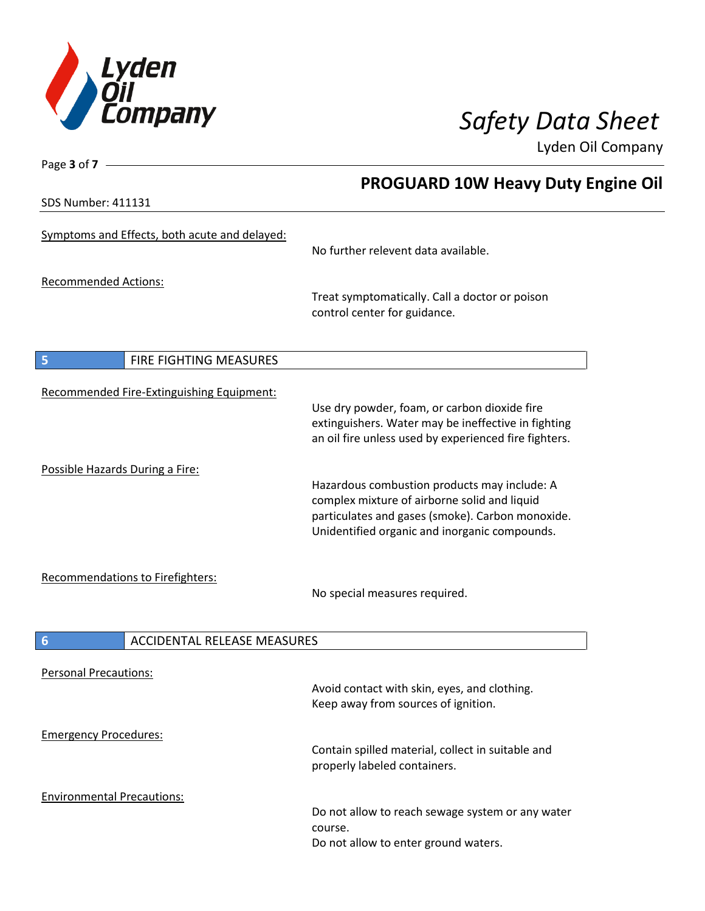

SDS Number: 411131

Page **3** of **7**

# **PROGUARD 10W Heavy Duty Engine Oil**

| <b>JUJ INUIIINEI. 4111J1</b>                      |                                                                                                                                                                                                   |
|---------------------------------------------------|---------------------------------------------------------------------------------------------------------------------------------------------------------------------------------------------------|
| Symptoms and Effects, both acute and delayed:     | No further relevent data available.                                                                                                                                                               |
|                                                   |                                                                                                                                                                                                   |
| <b>Recommended Actions:</b>                       | Treat symptomatically. Call a doctor or poison<br>control center for guidance.                                                                                                                    |
| FIRE FIGHTING MEASURES<br>$\overline{\mathbf{5}}$ |                                                                                                                                                                                                   |
|                                                   |                                                                                                                                                                                                   |
| Recommended Fire-Extinguishing Equipment:         | Use dry powder, foam, or carbon dioxide fire<br>extinguishers. Water may be ineffective in fighting<br>an oil fire unless used by experienced fire fighters.                                      |
| Possible Hazards During a Fire:                   |                                                                                                                                                                                                   |
|                                                   | Hazardous combustion products may include: A<br>complex mixture of airborne solid and liquid<br>particulates and gases (smoke). Carbon monoxide.<br>Unidentified organic and inorganic compounds. |
| Recommendations to Firefighters:                  | No special measures required.                                                                                                                                                                     |
| <b>ACCIDENTAL RELEASE MEASURES</b><br>6           |                                                                                                                                                                                                   |
|                                                   |                                                                                                                                                                                                   |
| <b>Personal Precautions:</b>                      | Avoid contact with skin, eyes, and clothing.<br>Keep away from sources of ignition.                                                                                                               |
| <b>Emergency Procedures:</b>                      |                                                                                                                                                                                                   |
|                                                   | Contain spilled material, collect in suitable and<br>properly labeled containers.                                                                                                                 |
| <b>Environmental Precautions:</b>                 |                                                                                                                                                                                                   |
|                                                   | Do not allow to reach sewage system or any water<br>course.<br>Do not allow to enter ground waters.                                                                                               |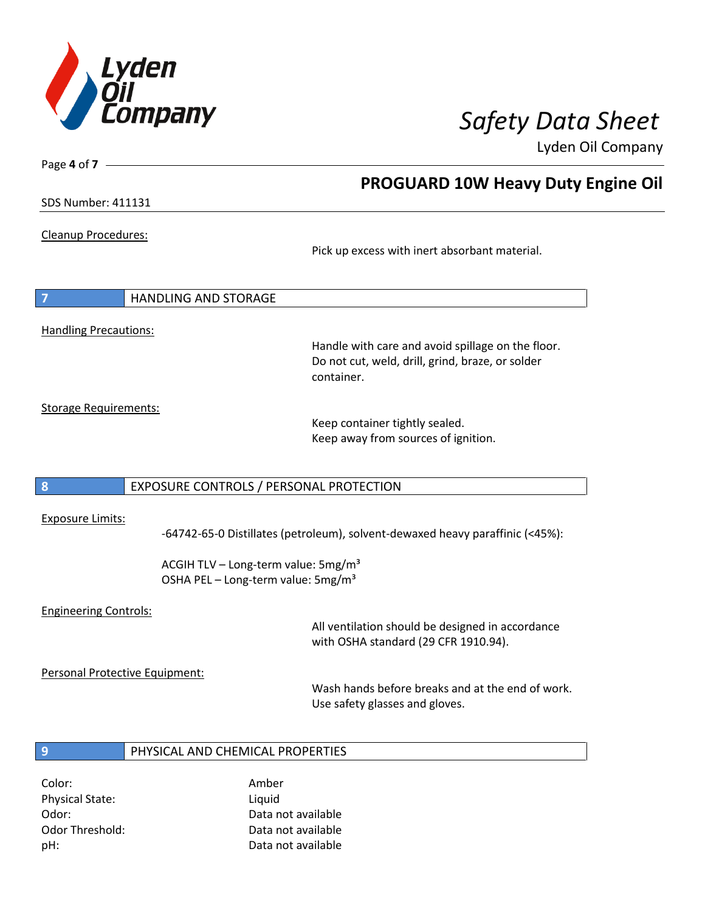

**PROGUARD 10W Heavy Duty Engine Oil**

Lyden Oil Company

SDS Number: 411131

Page **4** of **7**

Cleanup Procedures:

Pick up excess with inert absorbant material.

**7** HANDLING AND STORAGE Handling Precautions:

> Handle with care and avoid spillage on the floor. Do not cut, weld, drill, grind, braze, or solder container.

Storage Requirements:

Keep container tightly sealed. Keep away from sources of ignition.

### **8** EXPOSURE CONTROLS / PERSONAL PROTECTION

### Exposure Limits:

-64742-65-0 Distillates (petroleum), solvent-dewaxed heavy paraffinic (<45%):

ACGIH TLV – Long-term value:  $5mg/m<sup>3</sup>$ OSHA PEL - Long-term value: 5mg/m<sup>3</sup>

### Engineering Controls:

All ventilation should be designed in accordance with OSHA standard (29 CFR 1910.94).

Personal Protective Equipment:

Wash hands before breaks and at the end of work. Use safety glasses and gloves.

### **9** PHYSICAL AND CHEMICAL PROPERTIES

Color: Amber Physical State: Liquid

Odor: Data not available Odor Threshold: Data not available pH: Data not available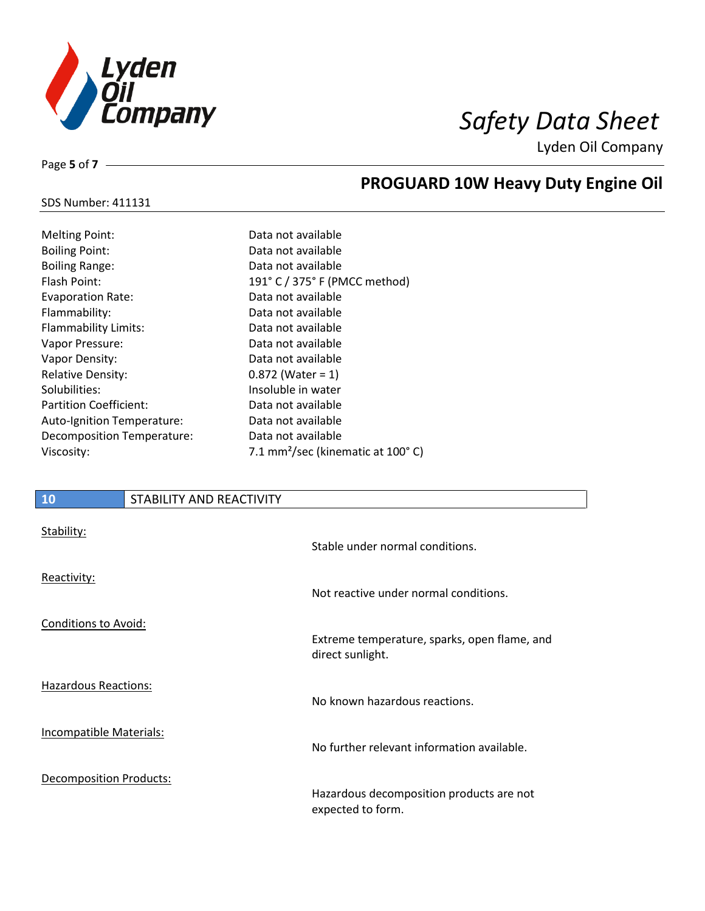

SDS Number: 411131

Page **5** of **7**

# **PROGUARD 10W Heavy Duty Engine Oil**

| <b>Melting Point:</b>             | Data not available                            |
|-----------------------------------|-----------------------------------------------|
| <b>Boiling Point:</b>             | Data not available                            |
| <b>Boiling Range:</b>             | Data not available                            |
| Flash Point:                      | 191° C / 375° F (PMCC method)                 |
| <b>Evaporation Rate:</b>          | Data not available                            |
| Flammability:                     | Data not available                            |
| <b>Flammability Limits:</b>       | Data not available                            |
| Vapor Pressure:                   | Data not available                            |
| Vapor Density:                    | Data not available                            |
| <b>Relative Density:</b>          | $0.872$ (Water = 1)                           |
| Solubilities:                     | Insoluble in water                            |
| <b>Partition Coefficient:</b>     | Data not available                            |
| <b>Auto-Ignition Temperature:</b> | Data not available                            |
| Decomposition Temperature:        | Data not available                            |
| Viscosity:                        | 7.1 mm <sup>2</sup> /sec (kinematic at 100°C) |
|                                   |                                               |

## **10** STABILITY AND REACTIVITY

| Stability:                     | Stable under normal conditions.                                  |
|--------------------------------|------------------------------------------------------------------|
| Reactivity:                    | Not reactive under normal conditions.                            |
| <b>Conditions to Avoid:</b>    | Extreme temperature, sparks, open flame, and<br>direct sunlight. |
| <b>Hazardous Reactions:</b>    | No known hazardous reactions.                                    |
| Incompatible Materials:        | No further relevant information available.                       |
| <b>Decomposition Products:</b> | Hazardous decomposition products are not<br>expected to form.    |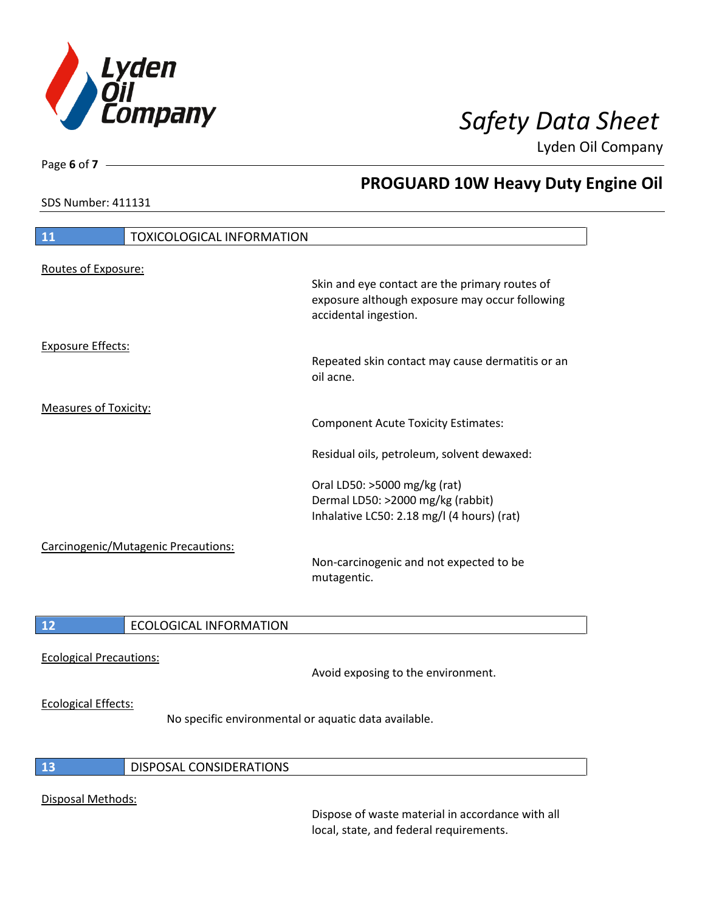

SDS Number: 411131

Page **6** of **7**

# **PROGUARD 10W Heavy Duty Engine Oil**

| 11                           | <b>TOXICOLOGICAL INFORMATION</b>    |                                                                                                                                                               |
|------------------------------|-------------------------------------|---------------------------------------------------------------------------------------------------------------------------------------------------------------|
| Routes of Exposure:          |                                     | Skin and eye contact are the primary routes of<br>exposure although exposure may occur following<br>accidental ingestion.                                     |
| <b>Exposure Effects:</b>     |                                     | Repeated skin contact may cause dermatitis or an<br>oil acne.                                                                                                 |
| <b>Measures of Toxicity:</b> |                                     | <b>Component Acute Toxicity Estimates:</b>                                                                                                                    |
|                              | Carcinogenic/Mutagenic Precautions: | Residual oils, petroleum, solvent dewaxed:<br>Oral LD50: >5000 mg/kg (rat)<br>Dermal LD50: >2000 mg/kg (rabbit)<br>Inhalative LC50: 2.18 mg/l (4 hours) (rat) |
| 12                           | <b>ECOLOGICAL INFORMATION</b>       | Non-carcinogenic and not expected to be<br>mutagentic.                                                                                                        |

Ecological Precautions:

Avoid exposing to the environment.

### Ecological Effects:

No specific environmental or aquatic data available.

### **13** DISPOSAL CONSIDERATIONS

### Disposal Methods:

Dispose of waste material in accordance with all local, state, and federal requirements.